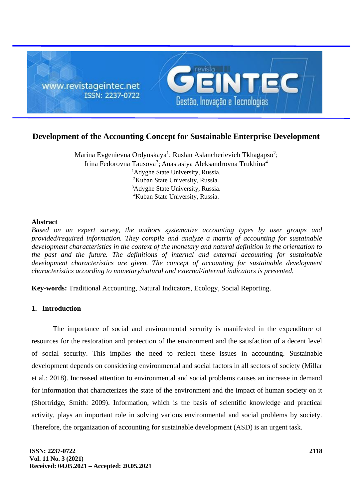

# **Development of the Accounting Concept for Sustainable Enterprise Development**

Marina Evgenievna Ordynskaya<sup>1</sup>; Ruslan Aslancherievich Tkhagapso<sup>2</sup>; Irina Fedorovna Tausova<sup>3</sup>; Anastasiya Aleksandrovna Trukhina<sup>4</sup> <sup>1</sup>Adyghe State University, Russia. <sup>2</sup>Kuban State University, Russia. <sup>3</sup>Adyghe State University, Russia. <sup>4</sup>Kuban State University, Russia.

## **Abstract**

*Based on an expert survey, the authors systematize accounting types by user groups and provided/required information. They compile and analyze a matrix of accounting for sustainable development characteristics in the context of the monetary and natural definition in the orientation to the past and the future. The definitions of internal and external accounting for sustainable*  development characteristics are given. The concept of accounting for sustainable development *characteristics according to monetary/natural and external/internal indicators is presented.*

**Key-words:** Traditional Accounting, Natural Indicators, Ecology, Social Reporting.

# **1. Introduction**

The importance of social and environmental security is manifested in the expenditure of resources for the restoration and protection of the environment and the satisfaction of a decent level of social security. This implies the need to reflect these issues in accounting. Sustainable development depends on considering environmental and social factors in all sectors of society (Millar et al.: 2018). Increased attention to environmental and social problems causes an increase in demand for information that characterizes the state of the environment and the impact of human society on it (Shortridge, Smith: 2009). Information, which is the basis of scientific knowledge and practical activity, plays an important role in solving various environmental and social problems by society. Therefore, the organization of accounting for sustainable development (ASD) is an urgent task.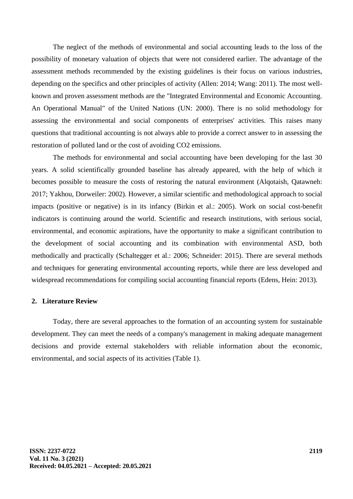The neglect of the methods of environmental and social accounting leads to the loss of the possibility of monetary valuation of objects that were not considered earlier. The advantage of the assessment methods recommended by the existing guidelines is their focus on various industries, depending on the specifics and other principles of activity (Allen: 2014; Wang: 2011). The most wellknown and proven assessment methods are the "Integrated Environmental and Economic Accounting. An Operational Manual" of the United Nations (UN: 2000). There is no solid methodology for assessing the environmental and social components of enterprises' activities. This raises many questions that traditional accounting is not always able to provide a correct answer to in assessing the restoration of polluted land or the cost of avoiding CO2 emissions.

The methods for environmental and social accounting have been developing for the last 30 years. A solid scientifically grounded baseline has already appeared, with the help of which it becomes possible to measure the costs of restoring the natural environment (Alqotaish, Qatawneh: 2017; Yakhou, Dorweiler: 2002). However, a similar scientific and methodological approach to social impacts (positive or negative) is in its infancy (Birkin et al.: 2005). Work on social cost-benefit indicators is continuing around the world. Scientific and research institutions, with serious social, environmental, and economic aspirations, have the opportunity to make a significant contribution to the development of social accounting and its combination with environmental ASD, both methodically and practically (Schaltegger et al.: 2006; Schneider: 2015). There are several methods and techniques for generating environmental accounting reports, while there are less developed and widespread recommendations for compiling social accounting financial reports (Edens, Hein: 2013).

## **2. Literature Review**

Today, there are several approaches to the formation of an accounting system for sustainable development. They can meet the needs of a company's management in making adequate management decisions and provide external stakeholders with reliable information about the economic, environmental, and social aspects of its activities (Table 1).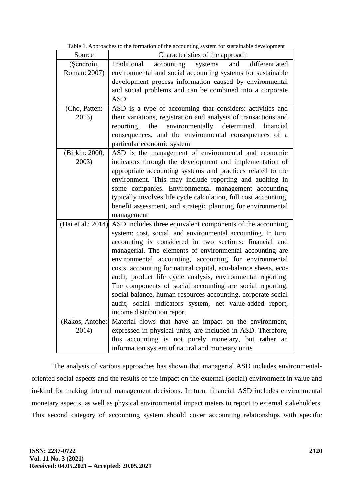| Table 1. Approaches to the formation of the accounting system for sustainable development |  |
|-------------------------------------------------------------------------------------------|--|
|                                                                                           |  |

| Source             | ence to the romation of the accounting system for sustainable development<br>Characteristics of the approach |  |  |  |  |  |
|--------------------|--------------------------------------------------------------------------------------------------------------|--|--|--|--|--|
| (Şendroiu,         | differentiated<br>Traditional<br>accounting<br>systems<br>and                                                |  |  |  |  |  |
| Roman: 2007)       | environmental and social accounting systems for sustainable                                                  |  |  |  |  |  |
|                    | development process information caused by environmental                                                      |  |  |  |  |  |
|                    | and social problems and can be combined into a corporate                                                     |  |  |  |  |  |
|                    | <b>ASD</b>                                                                                                   |  |  |  |  |  |
| (Cho, Patten:      | ASD is a type of accounting that considers: activities and                                                   |  |  |  |  |  |
| 2013)              | their variations, registration and analysis of transactions and                                              |  |  |  |  |  |
|                    | reporting, the environmentally determined<br>financial                                                       |  |  |  |  |  |
|                    | consequences, and the environmental consequences of a                                                        |  |  |  |  |  |
|                    | particular economic system                                                                                   |  |  |  |  |  |
| (Birkin: 2000,     | ASD is the management of environmental and economic                                                          |  |  |  |  |  |
| 2003)              | indicators through the development and implementation of                                                     |  |  |  |  |  |
|                    | appropriate accounting systems and practices related to the                                                  |  |  |  |  |  |
|                    | environment. This may include reporting and auditing in                                                      |  |  |  |  |  |
|                    | some companies. Environmental management accounting                                                          |  |  |  |  |  |
|                    | typically involves life cycle calculation, full cost accounting,                                             |  |  |  |  |  |
|                    | benefit assessment, and strategic planning for environmental                                                 |  |  |  |  |  |
|                    | management                                                                                                   |  |  |  |  |  |
| (Dai et al.: 2014) | ASD includes three equivalent components of the accounting                                                   |  |  |  |  |  |
|                    | system: cost, social, and environmental accounting. In turn,                                                 |  |  |  |  |  |
|                    | accounting is considered in two sections: financial and                                                      |  |  |  |  |  |
|                    | managerial. The elements of environmental accounting are                                                     |  |  |  |  |  |
|                    | environmental accounting, accounting for environmental                                                       |  |  |  |  |  |
|                    | costs, accounting for natural capital, eco-balance sheets, eco-                                              |  |  |  |  |  |
|                    | audit, product life cycle analysis, environmental reporting.                                                 |  |  |  |  |  |
|                    | The components of social accounting are social reporting,                                                    |  |  |  |  |  |
|                    | social balance, human resources accounting, corporate social                                                 |  |  |  |  |  |
|                    | audit, social indicators system, net value-added report,                                                     |  |  |  |  |  |
|                    | income distribution report                                                                                   |  |  |  |  |  |
| (Rakos, Antohe:    | Material flows that have an impact on the environment,                                                       |  |  |  |  |  |
| 2014)              | expressed in physical units, are included in ASD. Therefore,                                                 |  |  |  |  |  |
|                    | this accounting is not purely monetary, but rather an                                                        |  |  |  |  |  |
|                    | information system of natural and monetary units                                                             |  |  |  |  |  |

The analysis of various approaches has shown that managerial ASD includes environmentaloriented social aspects and the results of the impact on the external (social) environment in value and in-kind for making internal management decisions. In turn, financial ASD includes environmental monetary aspects, as well as physical environmental impact meters to report to external stakeholders. This second category of accounting system should cover accounting relationships with specific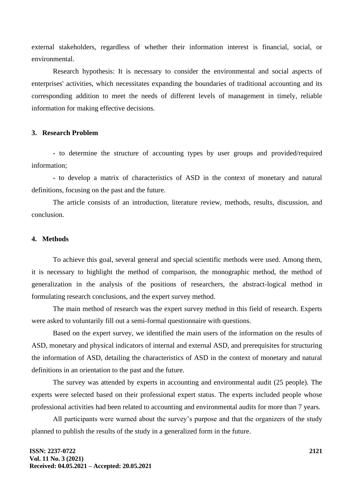external stakeholders, regardless of whether their information interest is financial, social, or environmental.

Research hypothesis: It is necessary to consider the environmental and social aspects of enterprises' activities, which necessitates expanding the boundaries of traditional accounting and its corresponding addition to meet the needs of different levels of management in timely, reliable information for making effective decisions.

## **3. Research Problem**

- to determine the structure of accounting types by user groups and provided/required information;

- to develop a matrix of characteristics of ASD in the context of monetary and natural definitions, focusing on the past and the future.

The article consists of an introduction, literature review, methods, results, discussion, and conclusion.

## **4. Methods**

To achieve this goal, several general and special scientific methods were used. Among them, it is necessary to highlight the method of comparison, the monographic method, the method of generalization in the analysis of the positions of researchers, the abstract-logical method in formulating research conclusions, and the expert survey method.

The main method of research was the expert survey method in this field of research. Experts were asked to voluntarily fill out a semi-formal questionnaire with questions.

Based on the expert survey, we identified the main users of the information on the results of ASD, monetary and physical indicators of internal and external ASD, and prerequisites for structuring the information of ASD, detailing the characteristics of ASD in the context of monetary and natural definitions in an orientation to the past and the future.

The survey was attended by experts in accounting and environmental audit (25 people). The experts were selected based on their professional expert status. The experts included people whose professional activities had been related to accounting and environmental audits for more than 7 years.

All participants were warned about the survey's purpose and that the organizers of the study planned to publish the results of the study in a generalized form in the future.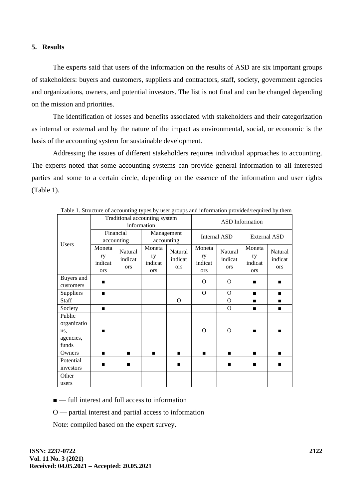#### **5. Results**

The experts said that users of the information on the results of ASD are six important groups of stakeholders: buyers and customers, suppliers and contractors, staff, society, government agencies and organizations, owners, and potential investors. The list is not final and can be changed depending on the mission and priorities.

The identification of losses and benefits associated with stakeholders and their categorization as internal or external and by the nature of the impact as environmental, social, or economic is the basis of the accounting system for sustainable development.

Addressing the issues of different stakeholders requires individual approaches to accounting. The experts noted that some accounting systems can provide general information to all interested parties and some to a certain circle, depending on the essence of the information and user rights (Table 1).

|                                                    | Traditional accounting system<br>information |                           |                                       | <b>ASD</b> Information           |                                       |                                  |                                       |                                  |
|----------------------------------------------------|----------------------------------------------|---------------------------|---------------------------------------|----------------------------------|---------------------------------------|----------------------------------|---------------------------------------|----------------------------------|
| <b>Users</b>                                       |                                              | Financial<br>accounting   | Management<br>accounting              |                                  | Internal ASD                          |                                  | <b>External ASD</b>                   |                                  |
|                                                    | Moneta<br>ry<br>indicat<br><b>ors</b>        | Natural<br>indicat<br>ors | Moneta<br>ry<br>indicat<br><b>ors</b> | Natural<br>indicat<br><b>ors</b> | Moneta<br>ry<br>indicat<br><b>ors</b> | Natural<br>indicat<br><b>ors</b> | Moneta<br>ry<br>indicat<br><b>ors</b> | Natural<br>indicat<br><b>ors</b> |
| Buyers and<br>customers                            | $\blacksquare$                               |                           |                                       |                                  | $\Omega$                              | $\Omega$                         | ▬                                     | п                                |
| Suppliers                                          | $\blacksquare$                               |                           |                                       |                                  | $\overline{O}$                        | $\Omega$                         | ■                                     | п                                |
| <b>Staff</b>                                       |                                              |                           |                                       | $\Omega$                         |                                       | $\Omega$                         | п                                     | п                                |
| Society                                            | $\blacksquare$                               |                           |                                       |                                  |                                       | $\Omega$                         | п                                     | п                                |
| Public<br>organizatio<br>ns,<br>agencies,<br>funds | ▬                                            |                           |                                       |                                  | O                                     | $\Omega$                         | ▬                                     |                                  |
| Owners                                             | $\blacksquare$                               | $\blacksquare$            | $\blacksquare$                        | $\blacksquare$                   | $\blacksquare$                        | $\blacksquare$                   |                                       | $\blacksquare$                   |
| Potential<br>investors                             | п                                            |                           |                                       |                                  |                                       | п                                | п                                     | п                                |
| Other<br>users                                     |                                              |                           |                                       |                                  |                                       |                                  |                                       |                                  |

Table 1. Structure of accounting types by user groups and information provided/required by them

■ — full interest and full access to information

O — partial interest and partial access to information

Note: compiled based on the expert survey.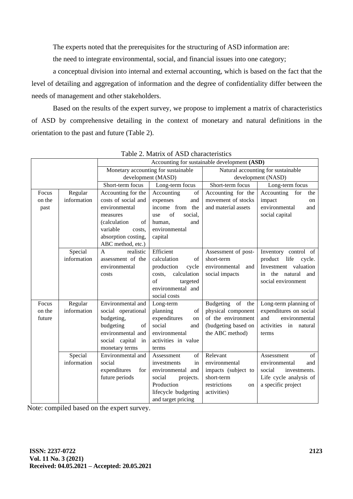The experts noted that the prerequisites for the structuring of ASD information are:

the need to integrate environmental, social, and financial issues into one category;

a conceptual division into internal and external accounting, which is based on the fact that the level of detailing and aggregation of information and the degree of confidentiality differ between the needs of management and other stakeholders.

Based on the results of the expert survey, we propose to implement a matrix of characteristics of ASD by comprehensive detailing in the context of monetary and natural definitions in the orientation to the past and future (Table 2).

|        |             | Accounting for sustainable development (ASD) |                       |                                    |                             |  |
|--------|-------------|----------------------------------------------|-----------------------|------------------------------------|-----------------------------|--|
|        |             | Monetary accounting for sustainable          |                       | Natural accounting for sustainable |                             |  |
|        |             | development (MASD)                           |                       | development (NASD)                 |                             |  |
|        |             | Short-term focus                             | Long-term focus       | Short-term focus                   | Long-term focus             |  |
| Focus  | Regular     | Accounting for the                           | Accounting<br>of      | Accounting for the                 | Accounting<br>for<br>the    |  |
| on the | information | costs of social and                          | expenses<br>and       | movement of stocks                 | impact<br>on                |  |
| past   |             | environmental                                | income from<br>the    | and material assets                | environmental<br>and        |  |
|        |             | measures                                     | of<br>social,<br>use  |                                    | social capital              |  |
|        |             | (calculation)<br>of                          | human.<br>and         |                                    |                             |  |
|        |             | variable<br>costs.                           | environmental         |                                    |                             |  |
|        |             | absorption costing,                          | capital               |                                    |                             |  |
|        |             | ABC method, etc.)                            |                       |                                    |                             |  |
|        | Special     | realistic<br>$\mathsf{A}$                    | Efficient             | Assessment of post-                | Inventory control of        |  |
|        | information | assessment of the                            | calculation<br>of     | short-term                         | product life<br>cycle.      |  |
|        |             | environmental                                | production<br>cycle   | environmental<br>and               | Investment<br>valuation     |  |
|        |             | costs                                        | calculation<br>costs. | social impacts                     | the natural and<br>in       |  |
|        |             |                                              | of<br>targeted        |                                    | social environment          |  |
|        |             |                                              | environmental and     |                                    |                             |  |
|        |             |                                              | social costs          |                                    |                             |  |
| Focus  | Regular     | Environmental and                            | Long-term             | Budgeting of<br>the                | Long-term planning of       |  |
| on the | information | social operational                           | planning<br>of        | physical component                 | expenditures on social      |  |
| future |             | budgeting,                                   | expenditures<br>on    | of the environment                 | and<br>environmental        |  |
|        |             | budgeting<br>of                              | social<br>and         | (budgeting based on                | activities<br>in<br>natural |  |
|        |             | environmental and                            | environmental         | the ABC method)                    | terms                       |  |
|        |             | social capital<br>in                         | activities in value   |                                    |                             |  |
|        |             | monetary terms                               | terms                 |                                    |                             |  |
|        | Special     | Environmental and                            | of<br>Assessment      | Relevant                           | of<br>Assessment            |  |
|        | information | social                                       | investments<br>in     | environmental                      | environmental<br>and        |  |
|        |             | expenditures<br>for                          | environmental and     | impacts (subject to                | social<br>investments.      |  |
|        |             | future periods                               | social<br>projects.   | short-term                         | Life cycle analysis of      |  |
|        |             |                                              | Production            | restrictions<br>on                 | a specific project          |  |
|        |             |                                              | lifecycle budgeting   | activities)                        |                             |  |
|        |             |                                              | and target pricing    |                                    |                             |  |

Table 2. Matrix of ASD characteristics

Note: compiled based on the expert survey.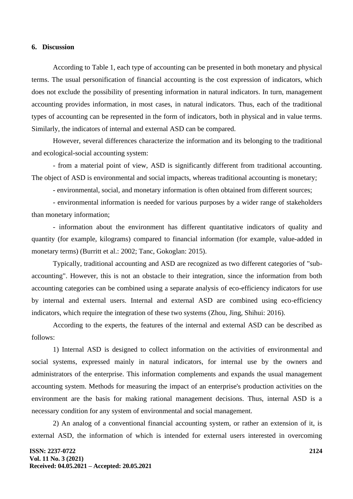#### **6. Discussion**

According to Table 1, each type of accounting can be presented in both monetary and physical terms. The usual personification of financial accounting is the cost expression of indicators, which does not exclude the possibility of presenting information in natural indicators. In turn, management accounting provides information, in most cases, in natural indicators. Thus, each of the traditional types of accounting can be represented in the form of indicators, both in physical and in value terms. Similarly, the indicators of internal and external ASD can be compared.

However, several differences characterize the information and its belonging to the traditional and ecological-social accounting system:

- from a material point of view, ASD is significantly different from traditional accounting. The object of ASD is environmental and social impacts, whereas traditional accounting is monetary;

- environmental, social, and monetary information is often obtained from different sources;

- environmental information is needed for various purposes by a wider range of stakeholders than monetary information;

- information about the environment has different quantitative indicators of quality and quantity (for example, kilograms) compared to financial information (for example, value-added in monetary terms) (Burritt et al.: 2002; Tanc, Gokoglan: 2015).

Typically, traditional accounting and ASD are recognized as two different categories of "subaccounting". However, this is not an obstacle to their integration, since the information from both accounting categories can be combined using a separate analysis of eco-efficiency indicators for use by internal and external users. Internal and external ASD are combined using eco-efficiency indicators, which require the integration of these two systems (Zhou, Jing, Shihui: 2016).

According to the experts, the features of the internal and external ASD can be described as follows:

1) Internal ASD is designed to collect information on the activities of environmental and social systems, expressed mainly in natural indicators, for internal use by the owners and administrators of the enterprise. This information complements and expands the usual management accounting system. Methods for measuring the impact of an enterprise's production activities on the environment are the basis for making rational management decisions. Thus, internal ASD is a necessary condition for any system of environmental and social management.

2) An analog of a conventional financial accounting system, or rather an extension of it, is external ASD, the information of which is intended for external users interested in overcoming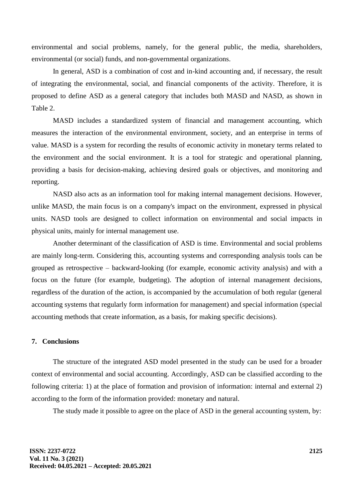environmental and social problems, namely, for the general public, the media, shareholders, environmental (or social) funds, and non-governmental organizations.

In general, ASD is a combination of cost and in-kind accounting and, if necessary, the result of integrating the environmental, social, and financial components of the activity. Therefore, it is proposed to define ASD as a general category that includes both MASD and NASD, as shown in Table 2.

MASD includes a standardized system of financial and management accounting, which measures the interaction of the environmental environment, society, and an enterprise in terms of value. MASD is a system for recording the results of economic activity in monetary terms related to the environment and the social environment. It is a tool for strategic and operational planning, providing a basis for decision-making, achieving desired goals or objectives, and monitoring and reporting.

NASD also acts as an information tool for making internal management decisions. However, unlike MASD, the main focus is on a company's impact on the environment, expressed in physical units. NASD tools are designed to collect information on environmental and social impacts in physical units, mainly for internal management use.

Another determinant of the classification of ASD is time. Environmental and social problems are mainly long-term. Considering this, accounting systems and corresponding analysis tools can be grouped as retrospective – backward-looking (for example, economic activity analysis) and with a focus on the future (for example, budgeting). The adoption of internal management decisions, regardless of the duration of the action, is accompanied by the accumulation of both regular (general accounting systems that regularly form information for management) and special information (special accounting methods that create information, as a basis, for making specific decisions).

## **7. Conclusions**

The structure of the integrated ASD model presented in the study can be used for a broader context of environmental and social accounting. Accordingly, ASD can be classified according to the following criteria: 1) at the place of formation and provision of information: internal and external 2) according to the form of the information provided: monetary and natural.

The study made it possible to agree on the place of ASD in the general accounting system, by: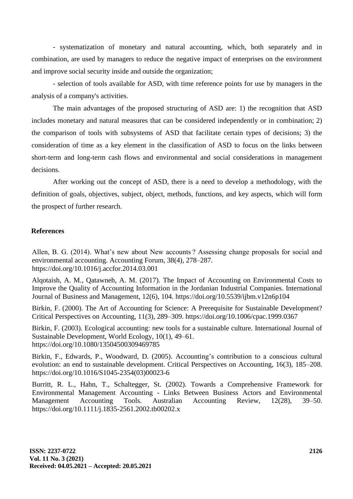- systematization of monetary and natural accounting, which, both separately and in combination, are used by managers to reduce the negative impact of enterprises on the environment and improve social security inside and outside the organization;

- selection of tools available for ASD, with time reference points for use by managers in the analysis of a company's activities.

The main advantages of the proposed structuring of ASD are: 1) the recognition that ASD includes monetary and natural measures that can be considered independently or in combination; 2) the comparison of tools with subsystems of ASD that facilitate certain types of decisions; 3) the consideration of time as a key element in the classification of ASD to focus on the links between short-term and long-term cash flows and environmental and social considerations in management decisions.

After working out the concept of ASD, there is a need to develop a methodology, with the definition of goals, objectives, subject, object, methods, functions, and key aspects, which will form the prospect of further research.

# **References**

Allen, B. G. (2014). What's new about New accounts ? Assessing change proposals for social and environmental accounting. Accounting Forum, 38(4), 278–287. https://doi.org/10.1016/j.accfor.2014.03.001

Alqotaish, A. M., Qatawneh, A. M. (2017). The Impact of Accounting on Environmental Costs to Improve the Quality of Accounting Information in the Jordanian Industrial Companies. International Journal of Business and Management, 12(6), 104. https://doi.org/10.5539/ijbm.v12n6p104

Birkin, F. (2000). The Art of Accounting for Science: A Prerequisite for Sustainable Development? Critical Perspectives on Accounting, 11(3), 289–309. https://doi.org/10.1006/cpac.1999.0367

Birkin, F. (2003). Ecological accounting: new tools for a sustainable culture. International Journal of Sustainable Development, World Ecology, 10(1), 49–61. https://doi.org/10.1080/13504500309469785

Birkin, F., Edwards, P., Woodward, D. (2005). Accounting's contribution to a conscious cultural evolution: an end to sustainable development. Critical Perspectives on Accounting, 16(3), 185–208. https://doi.org/10.1016/S1045-2354(03)00023-6

Burritt, R. L., Hahn, T., Schaltegger, St. (2002). Towards a Comprehensive Framework for Environmental Management Accounting - Links Between Business Actors and Environmental Management Accounting Tools. Australian Accounting Review, 12(28), 39–50. https://doi.org/10.1111/j.1835-2561.2002.tb00202.x